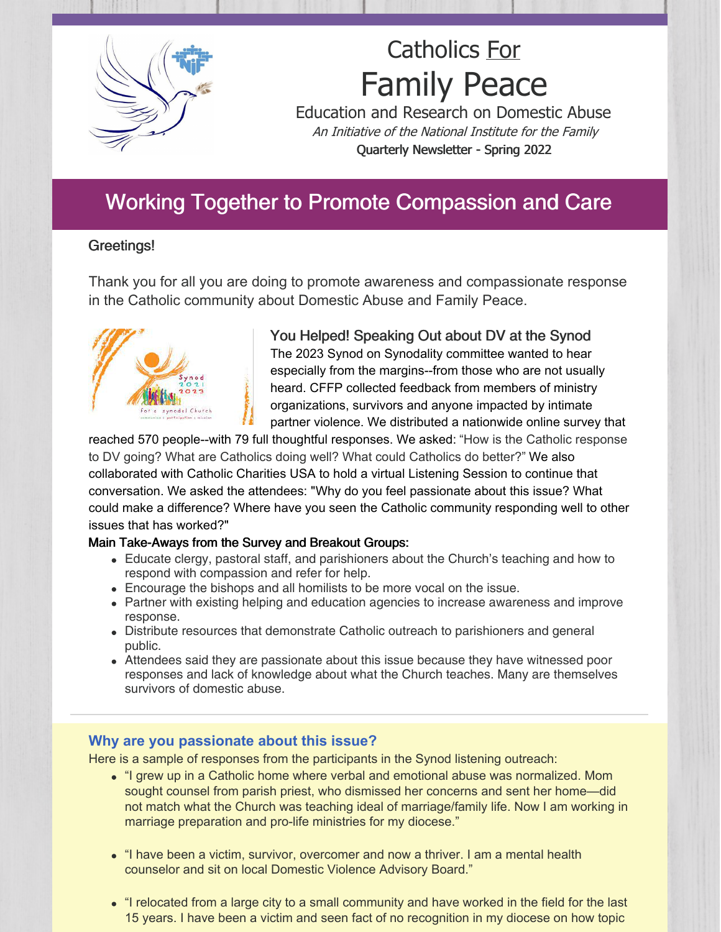

# Catholics For Family Peace

Education and Research on Domestic Abuse An Initiative of the National Institute for the Family Quarterly Newsletter - Spring 2022

## Working Together to Promote Compassion and Care

#### Greetings!

Thank you for all you are doing to promote awareness and compassionate response in the Catholic community about Domestic Abuse and Family Peace.



You Helped! Speaking Out about DV at the Synod The 2023 Synod on Synodality committee wanted to hear especially from the margins--from those who are not usually heard. CFFP collected feedback from members of ministry organizations, survivors and anyone impacted by intimate partner violence. We distributed a nationwide online survey that

reached 570 people--with 79 full thoughtful responses. We asked: "How is the Catholic response to DV going? What are Catholics doing well? What could Catholics do better?" We also collaborated with Catholic Charities USA to hold a virtual Listening Session to continue that conversation. We asked the attendees: "Why do you feel passionate about this issue? What could make a difference? Where have you seen the Catholic community responding well to other issues that has worked?"

#### Main Take-Aways from the Survey and Breakout Groups:

- Educate clergy, pastoral staff, and parishioners about the Church's teaching and how to respond with compassion and refer for help.
- Encourage the bishops and all homilists to be more vocal on the issue.
- Partner with existing helping and education agencies to increase awareness and improve response.
- Distribute resources that demonstrate Catholic outreach to parishioners and general public.
- Attendees said they are passionate about this issue because they have witnessed poor responses and lack of knowledge about what the Church teaches. Many are themselves survivors of domestic abuse.

#### **Why are you passionate about this issue?**

Here is a sample of responses from the participants in the Synod listening outreach:

- "I grew up in a Catholic home where verbal and emotional abuse was normalized. Mom sought counsel from parish priest, who dismissed her concerns and sent her home—did not match what the Church was teaching ideal of marriage/family life. Now I am working in marriage preparation and pro-life ministries for my diocese."
- "I have been a victim, survivor, overcomer and now a thriver. I am a mental health counselor and sit on local Domestic Violence Advisory Board."
- "I relocated from a large city to a small community and have worked in the field for the last 15 years. I have been a victim and seen fact of no recognition in my diocese on how topic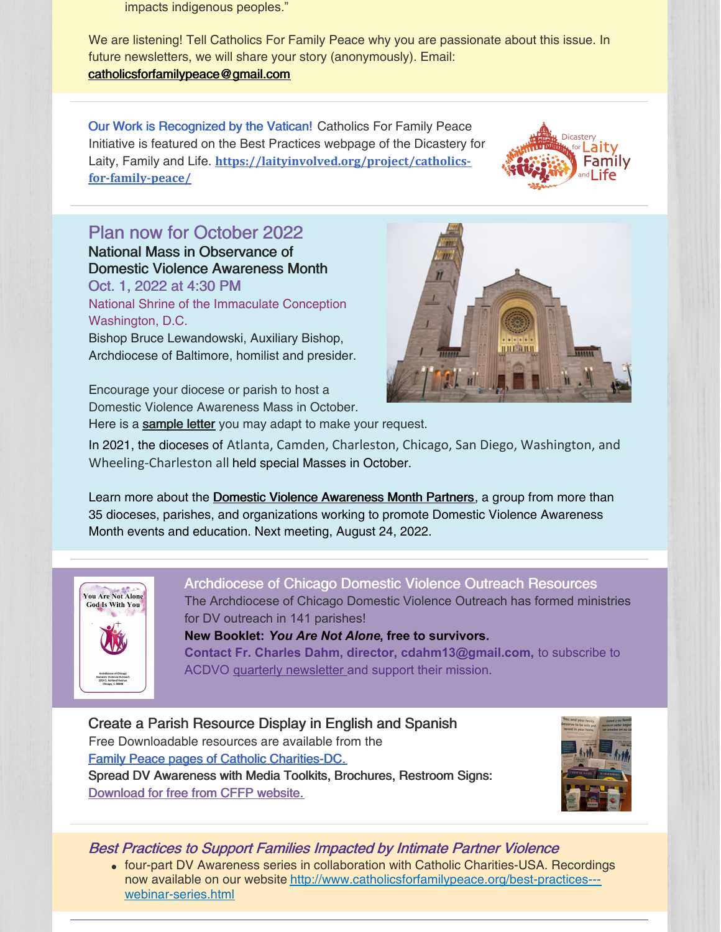impacts indigenous peoples."

We are listening! Tell Catholics For Family Peace why you are passionate about this issue. In future newsletters, we will share your story (anonymously). Email: [catholicsforfamilypeace@gmail.com](mailto:catholicsforfamilypeace@gmail.com)

Our Work is Recognized by the Vatican! Catholics For Family Peace Initiative is featured on the Best Practices webpage of the Dicastery for Laity, Family and Life. **[https://laityinvolved.org/project/catholics](https://laityinvolved.org/project/catholics-for-family-peace/)for-family-peace/**



### Plan now for October 2022

National Mass in Observance of Domestic Violence Awareness Month Oct. 1, 2022 at 4:30 PM

National Shrine of the Immaculate Conception Washington, D.C.

Bishop Bruce Lewandowski, Auxiliary Bishop, Archdiocese of Baltimore, homilist and presider.

Encourage your diocese or parish to host a Domestic Violence Awareness Mass in October.

Here is a **[sample](https://files.constantcontact.com/a6584bc3801/8bb6bdbf-1e45-448d-9f03-4042f09d0301.docx?rdr=true) letter** you may adapt to make your request.

In 2021, the dioceses of Atlanta, Camden, Charleston, Chicago, San Diego, Washington, and Wheeling-Charleston all held special Masses in October.

Learn more about the **Domestic Violence [Awareness](http://www.catholicsforfamilypeace.org/national-catholic-partners-for-domestic-violence-awareness-month.html) Month Partners**, a group from more than 35 dioceses, parishes, and organizations working to promote Domestic Violence Awareness Month events and education. Next meeting, August 24, 2022.



Archdiocese of Chicago Domestic Violence Outreach Resources The Archdiocese of Chicago Domestic Violence Outreach has formed ministries for DV outreach in 141 parishes! **New Booklet:** *You Are Not Alone***, free to survivors. Contact Fr. Charles Dahm, director, cdahm13@gmail.com,** to subscribe to ACDVO quarterly [newsletter](https://pvm.archchicago.org/documents/87254/227317/ACDVO_Newsletter_Nov_2021_FINAL_for_DIGITAL.pdf/5d5fc671-4478-49b5-843e-824b35011293) and support their mission.

Create a Parish Resource Display in English and Spanish Free Downloadable resources are available from the Family Peace pages of Catholic [Charities-DC.](https://www.catholiccharitiesdc.org/familypeace/parish-outreach-material/) Spread DV Awareness with Media Toolkits, Brochures, Restroom Signs: [Download](http://www.catholicsforfamilypeace.org/downloadable-resources.html) for free from CFFP website.



Best Practices to Support Families Impacted by Intimate Partner Violence

four-part DV Awareness series in collaboration with Catholic Charities-USA. Recordings now available on our website [http://www.catholicsforfamilypeace.org/best-practices--](http://www.catholicsforfamilypeace.org/best-practices---webinar-series.html) webinar-series.html